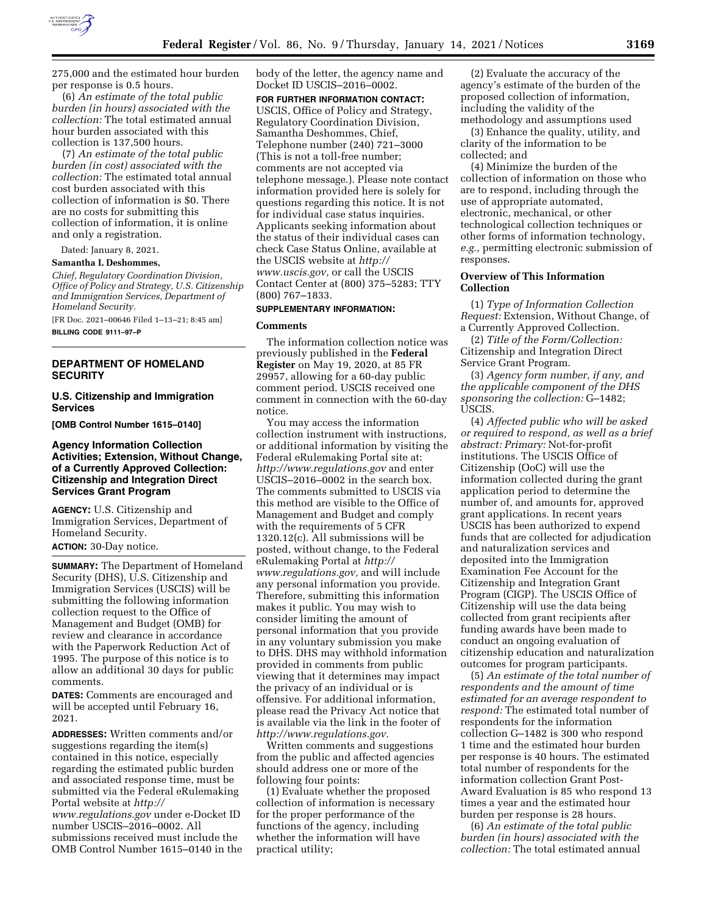

275,000 and the estimated hour burden per response is 0.5 hours.

(6) *An estimate of the total public burden (in hours) associated with the collection:* The total estimated annual hour burden associated with this collection is 137,500 hours.

(7) *An estimate of the total public burden (in cost) associated with the collection:* The estimated total annual cost burden associated with this collection of information is \$0. There are no costs for submitting this collection of information, it is online and only a registration.

Dated: January 8, 2021.

## **Samantha L Deshommes,**

*Chief, Regulatory Coordination Division, Office of Policy and Strategy, U.S. Citizenship and Immigration Services, Department of Homeland Security.* 

[FR Doc. 2021–00646 Filed 1–13–21; 8:45 am] **BILLING CODE 9111–97–P** 

### **DEPARTMENT OF HOMELAND SECURITY**

### **U.S. Citizenship and Immigration Services**

**[OMB Control Number 1615–0140]** 

## **Agency Information Collection Activities; Extension, Without Change, of a Currently Approved Collection: Citizenship and Integration Direct Services Grant Program**

**AGENCY:** U.S. Citizenship and Immigration Services, Department of Homeland Security.

# **ACTION:** 30-Day notice.

**SUMMARY:** The Department of Homeland Security (DHS), U.S. Citizenship and Immigration Services (USCIS) will be submitting the following information collection request to the Office of Management and Budget (OMB) for review and clearance in accordance with the Paperwork Reduction Act of 1995. The purpose of this notice is to allow an additional 30 days for public comments.

**DATES:** Comments are encouraged and will be accepted until February 16, 2021.

**ADDRESSES:** Written comments and/or suggestions regarding the item(s) contained in this notice, especially regarding the estimated public burden and associated response time, must be submitted via the Federal eRulemaking Portal website at *[http://](http://www.regulations.gov) [www.regulations.gov](http://www.regulations.gov)* under e-Docket ID number USCIS–2016–0002. All submissions received must include the OMB Control Number 1615–0140 in the body of the letter, the agency name and Docket ID USCIS–2016–0002.

**FOR FURTHER INFORMATION CONTACT:**  USCIS, Office of Policy and Strategy, Regulatory Coordination Division, Samantha Deshommes, Chief, Telephone number (240) 721–3000 (This is not a toll-free number; comments are not accepted via telephone message.). Please note contact information provided here is solely for questions regarding this notice. It is not for individual case status inquiries. Applicants seeking information about the status of their individual cases can check Case Status Online, available at the USCIS website at *[http://](http://www.uscis.gov) [www.uscis.gov,](http://www.uscis.gov)* or call the USCIS Contact Center at (800) 375–5283; TTY (800) 767–1833.

# **SUPPLEMENTARY INFORMATION:**

#### **Comments**

The information collection notice was previously published in the **Federal Register** on May 19, 2020, at 85 FR 29957, allowing for a 60-day public comment period. USCIS received one comment in connection with the 60-day notice.

You may access the information collection instrument with instructions, or additional information by visiting the Federal eRulemaking Portal site at: *<http://www.regulations.gov>* and enter USCIS–2016–0002 in the search box. The comments submitted to USCIS via this method are visible to the Office of Management and Budget and comply with the requirements of 5 CFR 1320.12(c). All submissions will be posted, without change, to the Federal eRulemaking Portal at *[http://](http://www.regulations.gov) [www.regulations.gov,](http://www.regulations.gov)* and will include any personal information you provide. Therefore, submitting this information makes it public. You may wish to consider limiting the amount of personal information that you provide in any voluntary submission you make to DHS. DHS may withhold information provided in comments from public viewing that it determines may impact the privacy of an individual or is offensive. For additional information, please read the Privacy Act notice that is available via the link in the footer of *[http://www.regulations.gov.](http://www.regulations.gov)* 

Written comments and suggestions from the public and affected agencies should address one or more of the following four points:

(1) Evaluate whether the proposed collection of information is necessary for the proper performance of the functions of the agency, including whether the information will have practical utility;

(2) Evaluate the accuracy of the agency's estimate of the burden of the proposed collection of information, including the validity of the methodology and assumptions used

(3) Enhance the quality, utility, and clarity of the information to be collected; and

(4) Minimize the burden of the collection of information on those who are to respond, including through the use of appropriate automated, electronic, mechanical, or other technological collection techniques or other forms of information technology, *e.g.,* permitting electronic submission of responses.

#### **Overview of This Information Collection**

(1) *Type of Information Collection Request:* Extension, Without Change, of a Currently Approved Collection.

(2) *Title of the Form/Collection:*  Citizenship and Integration Direct Service Grant Program.

(3) *Agency form number, if any, and the applicable component of the DHS sponsoring the collection:* G–1482; USCIS.

(4) *Affected public who will be asked or required to respond, as well as a brief abstract: Primary:* Not-for-profit institutions. The USCIS Office of Citizenship (OoC) will use the information collected during the grant application period to determine the number of, and amounts for, approved grant applications. In recent years USCIS has been authorized to expend funds that are collected for adjudication and naturalization services and deposited into the Immigration Examination Fee Account for the Citizenship and Integration Grant Program (CIGP). The USCIS Office of Citizenship will use the data being collected from grant recipients after funding awards have been made to conduct an ongoing evaluation of citizenship education and naturalization outcomes for program participants.

(5) *An estimate of the total number of respondents and the amount of time estimated for an average respondent to respond:* The estimated total number of respondents for the information collection G–1482 is 300 who respond 1 time and the estimated hour burden per response is 40 hours. The estimated total number of respondents for the information collection Grant Post-Award Evaluation is 85 who respond 13 times a year and the estimated hour burden per response is 28 hours.

(6) *An estimate of the total public burden (in hours) associated with the collection:* The total estimated annual